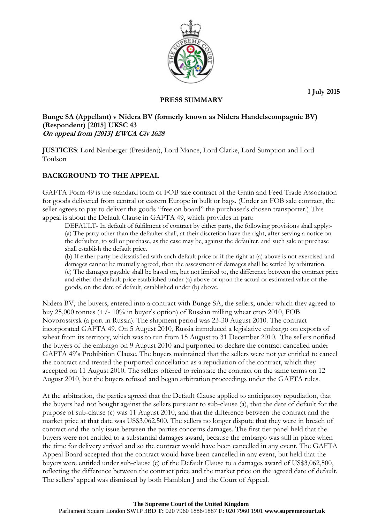**1 July 2015**



### **PRESS SUMMARY**

#### **Bunge SA (Appellant) v Nidera BV (formerly known as Nidera Handelscompagnie BV) (Respondent) [2015] UKSC 43 On appeal from [2013] EWCA Civ 1628**

**JUSTICES**: Lord Neuberger (President), Lord Mance, Lord Clarke, Lord Sumption and Lord Toulson

## **BACKGROUND TO THE APPEAL**

GAFTA Form 49 is the standard form of FOB sale contract of the Grain and Feed Trade Association for goods delivered from central or eastern Europe in bulk or bags. (Under an FOB sale contract, the seller agrees to pay to deliver the goods "free on board" the purchaser's chosen transporter.) This appeal is about the Default Clause in GAFTA 49, which provides in part:

DEFAULT- In default of fulfilment of contract by either party, the following provisions shall apply:- (a) The party other than the defaulter shall, at their discretion have the right, after serving a notice on the defaulter, to sell or purchase, as the case may be, against the defaulter, and such sale or purchase shall establish the default price.

(b) If either party be dissatisfied with such default price or if the right at (a) above is not exercised and damages cannot be mutually agreed, then the assessment of damages shall be settled by arbitration. (c) The damages payable shall be based on, but not limited to, the difference between the contract price and either the default price established under (a) above or upon the actual or estimated value of the goods, on the date of default, established under (b) above.

Nidera BV, the buyers, entered into a contract with Bunge SA, the sellers, under which they agreed to buy 25,000 tonnes (+/- 10% in buyer's option) of Russian milling wheat crop 2010, FOB Novorossiysk (a port in Russia). The shipment period was 23-30 August 2010. The contract incorporated GAFTA 49. On 5 August 2010, Russia introduced a legislative embargo on exports of wheat from its territory, which was to run from 15 August to 31 December 2010. The sellers notified the buyers of the embargo on 9 August 2010 and purported to declare the contract cancelled under GAFTA 49's Prohibition Clause. The buyers maintained that the sellers were not yet entitled to cancel the contract and treated the purported cancellation as a repudiation of the contract, which they accepted on 11 August 2010. The sellers offered to reinstate the contract on the same terms on 12 August 2010, but the buyers refused and began arbitration proceedings under the GAFTA rules.

At the arbitration, the parties agreed that the Default Clause applied to anticipatory repudiation, that the buyers had not bought against the sellers pursuant to sub-clause (a), that the date of default for the purpose of sub-clause (c) was 11 August 2010, and that the difference between the contract and the market price at that date was US\$3,062,500. The sellers no longer dispute that they were in breach of contract and the only issue between the parties concerns damages. The first tier panel held that the buyers were not entitled to a substantial damages award, because the embargo was still in place when the time for delivery arrived and so the contract would have been cancelled in any event. The GAFTA Appeal Board accepted that the contract would have been cancelled in any event, but held that the buyers were entitled under sub-clause (c) of the Default Clause to a damages award of US\$3,062,500, reflecting the difference between the contract price and the market price on the agreed date of default. The sellers' appeal was dismissed by both Hamblen J and the Court of Appeal.